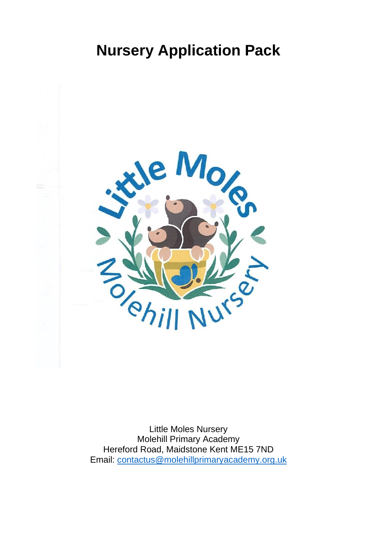# **Nursery Application Pack**



Little Moles Nursery Molehill Primary Academy Hereford Road, Maidstone Kent ME15 7ND Email: [contactus@molehillprimaryacademy.org.uk](mailto:contactus@molehillprimaryacademy.org.uk)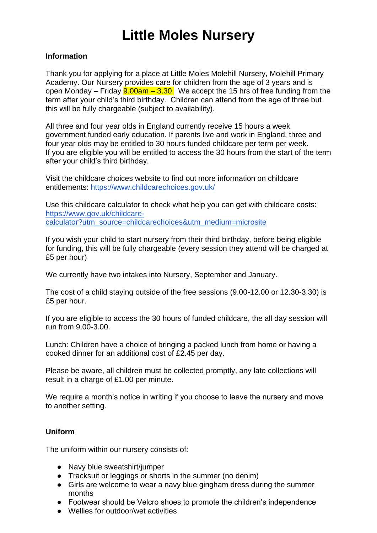# **Little Moles Nursery**

### **Information**

Thank you for applying for a place at Little Moles Molehill Nursery, Molehill Primary Academy. Our Nursery provides care for children from the age of 3 years and is open Monday – Friday  $9.00$ am –  $3.30$ . We accept the 15 hrs of free funding from the term after your child's third birthday. Children can attend from the age of three but this will be fully chargeable (subject to availability).

All three and four year olds in England currently receive 15 hours a week government funded early education. If parents live and work in England, three and four year olds may be entitled to 30 hours funded childcare per term per week. If you are eligible you will be entitled to access the 30 hours from the start of the term after your child's third birthday.

Visit the childcare choices website to find out more information on childcare entitlements:<https://www.childcarechoices.gov.uk/>

Use this childcare calculator to check what help you can get with childcare costs: [https://www.gov.uk/childcare](https://www.gov.uk/childcare-calculator?utm_source=childcarechoices&utm_medium=microsite)[calculator?utm\\_source=childcarechoices&utm\\_medium=microsite](https://www.gov.uk/childcare-calculator?utm_source=childcarechoices&utm_medium=microsite)

If you wish your child to start nursery from their third birthday, before being eligible for funding, this will be fully chargeable (every session they attend will be charged at £5 per hour)

We currently have two intakes into Nursery, September and January.

The cost of a child staying outside of the free sessions (9.00-12.00 or 12.30-3.30) is £5 per hour.

If you are eligible to access the 30 hours of funded childcare, the all day session will run from 9.00-3.00.

Lunch: Children have a choice of bringing a packed lunch from home or having a cooked dinner for an additional cost of £2.45 per day.

Please be aware, all children must be collected promptly, any late collections will result in a charge of £1.00 per minute.

We require a month's notice in writing if you choose to leave the nursery and move to another setting.

### **Uniform**

The uniform within our nursery consists of:

- Navy blue sweatshirt/jumper
- Tracksuit or leggings or shorts in the summer (no denim)
- Girls are welcome to wear a navy blue gingham dress during the summer months
- Footwear should be Velcro shoes to promote the children's independence
- Wellies for outdoor/wet activities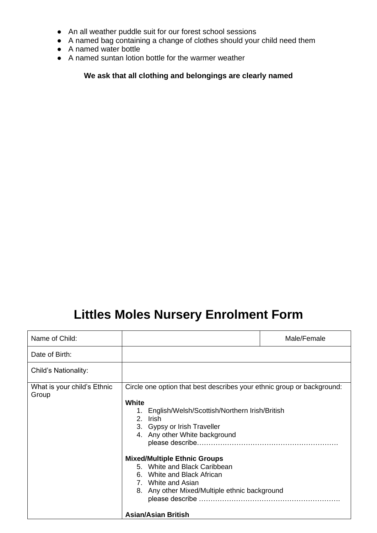- An all weather puddle suit for our forest school sessions
- A named bag containing a change of clothes should your child need them
- A named water bottle
- A named suntan lotion bottle for the warmer weather

**We ask that all clothing and belongings are clearly named**

## **Littles Moles Nursery Enrolment Form**

| Name of Child:                       |                                                                                                                                                                                                                                                                                                                                                   | Male/Female |
|--------------------------------------|---------------------------------------------------------------------------------------------------------------------------------------------------------------------------------------------------------------------------------------------------------------------------------------------------------------------------------------------------|-------------|
| Date of Birth:                       |                                                                                                                                                                                                                                                                                                                                                   |             |
| Child's Nationality:                 |                                                                                                                                                                                                                                                                                                                                                   |             |
| What is your child's Ethnic<br>Group | Circle one option that best describes your ethnic group or background:<br><b>White</b><br>1. English/Welsh/Scottish/Northern Irish/British<br>2. Irish<br>3. Gypsy or Irish Traveller<br>4. Any other White background<br><b>Mixed/Multiple Ethnic Groups</b><br>5. White and Black Caribbean<br>6. White and Black African<br>7. White and Asian |             |
|                                      | 8. Any other Mixed/Multiple ethnic background<br><b>Asian/Asian British</b>                                                                                                                                                                                                                                                                       |             |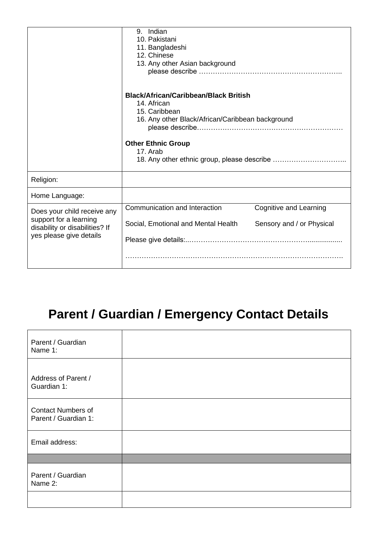|                                                                                                                    | 9. Indian<br>10. Pakistani<br>11. Bangladeshi<br>12. Chinese<br>13. Any other Asian background                                                                            |                                                     |
|--------------------------------------------------------------------------------------------------------------------|---------------------------------------------------------------------------------------------------------------------------------------------------------------------------|-----------------------------------------------------|
|                                                                                                                    | <b>Black/African/Caribbean/Black British</b><br>14. African<br>15. Caribbean<br>16. Any other Black/African/Caribbean background<br><b>Other Ethnic Group</b><br>17. Arab |                                                     |
| Religion:                                                                                                          |                                                                                                                                                                           |                                                     |
| Home Language:                                                                                                     |                                                                                                                                                                           |                                                     |
| Does your child receive any<br>support for a learning<br>disability or disabilities? If<br>yes please give details | Communication and Interaction<br>Social, Emotional and Mental Health                                                                                                      | Cognitive and Learning<br>Sensory and / or Physical |

# **Parent / Guardian / Emergency Contact Details**

| Parent / Guardian<br>Name 1:                      |  |
|---------------------------------------------------|--|
| Address of Parent /<br>Guardian 1:                |  |
| <b>Contact Numbers of</b><br>Parent / Guardian 1: |  |
| Email address:                                    |  |
|                                                   |  |
| Parent / Guardian<br>Name 2:                      |  |
|                                                   |  |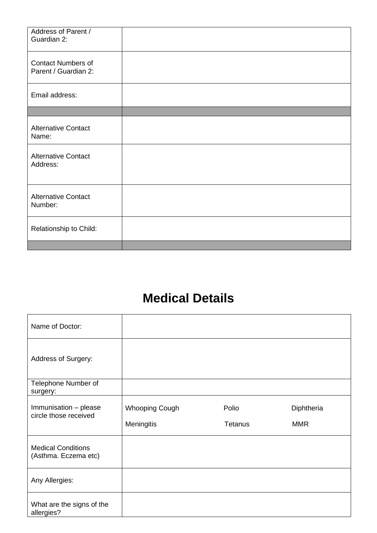| Address of Parent /<br>Guardian 2:                |  |
|---------------------------------------------------|--|
| <b>Contact Numbers of</b><br>Parent / Guardian 2: |  |
| Email address:                                    |  |
|                                                   |  |
| <b>Alternative Contact</b><br>Name:               |  |
| <b>Alternative Contact</b><br>Address:            |  |
| <b>Alternative Contact</b><br>Number:             |  |
| Relationship to Child:                            |  |
|                                                   |  |

## **Medical Details**

| Name of Doctor:                                   |                       |                |            |
|---------------------------------------------------|-----------------------|----------------|------------|
| Address of Surgery:                               |                       |                |            |
| Telephone Number of<br>surgery:                   |                       |                |            |
| Immunisation - please<br>circle those received    | <b>Whooping Cough</b> | Polio          | Diphtheria |
|                                                   | <b>Meningitis</b>     | <b>Tetanus</b> | <b>MMR</b> |
| <b>Medical Conditions</b><br>(Asthma. Eczema etc) |                       |                |            |
|                                                   |                       |                |            |
| Any Allergies:                                    |                       |                |            |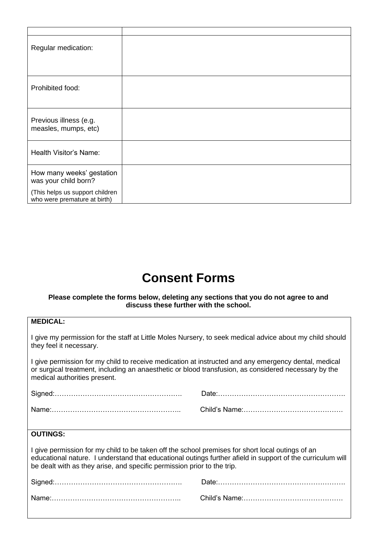| Regular medication:                                             |  |
|-----------------------------------------------------------------|--|
| Prohibited food:                                                |  |
| Previous illness (e.g.<br>measles, mumps, etc)                  |  |
| Health Visitor's Name:                                          |  |
| How many weeks' gestation<br>was your child born?               |  |
| (This helps us support children<br>who were premature at birth) |  |

### **Consent Forms**

#### **Please complete the forms below, deleting any sections that you do not agree to and discuss these further with the school.**

| <b>MEDICAL:</b>                                                                                                                                                                                                                                                                           |  |  |
|-------------------------------------------------------------------------------------------------------------------------------------------------------------------------------------------------------------------------------------------------------------------------------------------|--|--|
| I give my permission for the staff at Little Moles Nursery, to seek medical advice about my child should<br>they feel it necessary.                                                                                                                                                       |  |  |
| I give permission for my child to receive medication at instructed and any emergency dental, medical<br>or surgical treatment, including an anaesthetic or blood transfusion, as considered necessary by the<br>medical authorities present.                                              |  |  |
|                                                                                                                                                                                                                                                                                           |  |  |
|                                                                                                                                                                                                                                                                                           |  |  |
|                                                                                                                                                                                                                                                                                           |  |  |
| <b>OUTINGS:</b>                                                                                                                                                                                                                                                                           |  |  |
| I give permission for my child to be taken off the school premises for short local outings of an<br>educational nature. I understand that educational outings further afield in support of the curriculum will<br>be dealt with as they arise, and specific permission prior to the trip. |  |  |
|                                                                                                                                                                                                                                                                                           |  |  |
|                                                                                                                                                                                                                                                                                           |  |  |
|                                                                                                                                                                                                                                                                                           |  |  |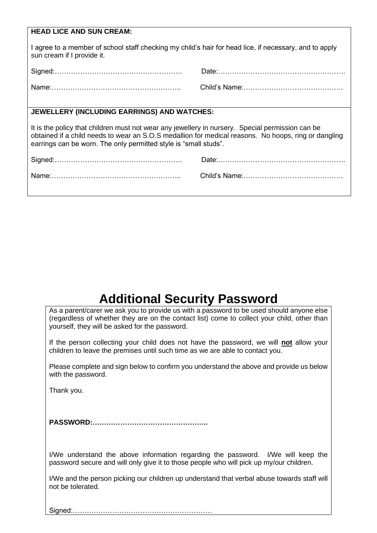| <b>HEAD LICE AND SUN CREAM:</b>                                                                                                                                                                                                                                              |  |  |
|------------------------------------------------------------------------------------------------------------------------------------------------------------------------------------------------------------------------------------------------------------------------------|--|--|
| I agree to a member of school staff checking my child's hair for head lice, if necessary, and to apply<br>sun cream if I provide it.                                                                                                                                         |  |  |
|                                                                                                                                                                                                                                                                              |  |  |
|                                                                                                                                                                                                                                                                              |  |  |
|                                                                                                                                                                                                                                                                              |  |  |
| JEWELLERY (INCLUDING EARRINGS) AND WATCHES:                                                                                                                                                                                                                                  |  |  |
| It is the policy that children must not wear any jewellery in nursery. Special permission can be<br>obtained if a child needs to wear an S.O.S medallion for medical reasons. No hoops, ring or dangling<br>earrings can be worn. The only permitted style is "small studs". |  |  |
|                                                                                                                                                                                                                                                                              |  |  |
|                                                                                                                                                                                                                                                                              |  |  |
|                                                                                                                                                                                                                                                                              |  |  |

## **Additional Security Password**

As a parent/carer we ask you to provide us with a password to be used should anyone else (regardless of whether they are on the contact list) come to collect your child, other than yourself, they will be asked for the password.

If the person collecting your child does not have the password, we will **not** allow your children to leave the premises until such time as we are able to contact you.

Please complete and sign below to confirm you understand the above and provide us below with the password.

Thank you.

**PASSWORD:***…………………………………………..*

I/We understand the above information regarding the password. I/We will keep the password secure and will only give it to those people who will pick up my/our children.

I/We and the person picking our children up understand that verbal abuse towards staff will not be tolerated.

Signed:……………………………………………………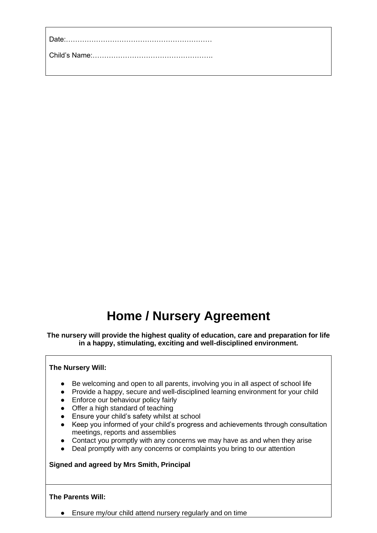## **Home / Nursery Agreement**

**The nursery will provide the highest quality of education, care and preparation for life in a happy, stimulating, exciting and well-disciplined environment.**

#### **The Nursery Will:**

- Be welcoming and open to all parents, involving you in all aspect of school life
- Provide a happy, secure and well-disciplined learning environment for your child
- Enforce our behaviour policy fairly
- Offer a high standard of teaching
- Ensure your child's safety whilst at school
- Keep you informed of your child's progress and achievements through consultation meetings, reports and assemblies
- Contact you promptly with any concerns we may have as and when they arise
- Deal promptly with any concerns or complaints you bring to our attention

#### **Signed and agreed by Mrs Smith, Principal**

#### **The Parents Will:**

● Ensure my/our child attend nursery regularly and on time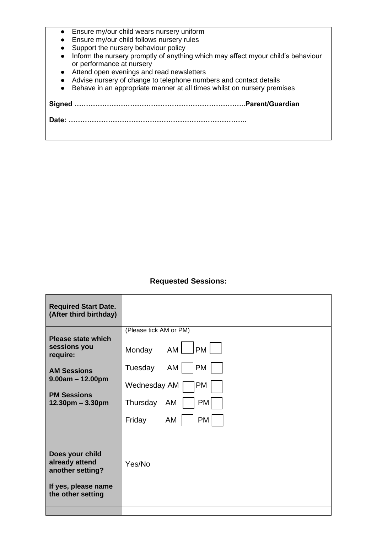- Ensure my/our child wears nursery uniform
- Ensure my/our child follows nursery rules
- Support the nursery behaviour policy
- Inform the nursery promptly of anything which may affect myour child's behaviour or performance at nursery
- Attend open evenings and read newsletters
- Advise nursery of change to telephone numbers and contact details
- Behave in an appropriate manner at all times whilst on nursery premises

**Signed ………………………………………………………………..Parent/Guardian**

**Date: …………………………………………………………………..**

### **Requested Sessions:**

| <b>Required Start Date.</b><br>(After third birthday)                        |                                 |
|------------------------------------------------------------------------------|---------------------------------|
|                                                                              | (Please tick AM or PM)          |
| <b>Please state which</b><br>sessions you<br>require:                        | $AM$ $\Box$ PM $\Box$<br>Monday |
| <b>AM Sessions</b>                                                           | PM<br>Tuesday<br>AM             |
| $9.00am - 12.00pm$                                                           | PM<br>Wednesday AM              |
| <b>PM Sessions</b><br>$12.30pm - 3.30pm$                                     | Thursday AM<br>PM               |
|                                                                              | AM<br>PM<br>Friday              |
|                                                                              |                                 |
| Does your child<br>already attend<br>another setting?<br>If yes, please name | Yes/No                          |
| the other setting                                                            |                                 |
|                                                                              |                                 |